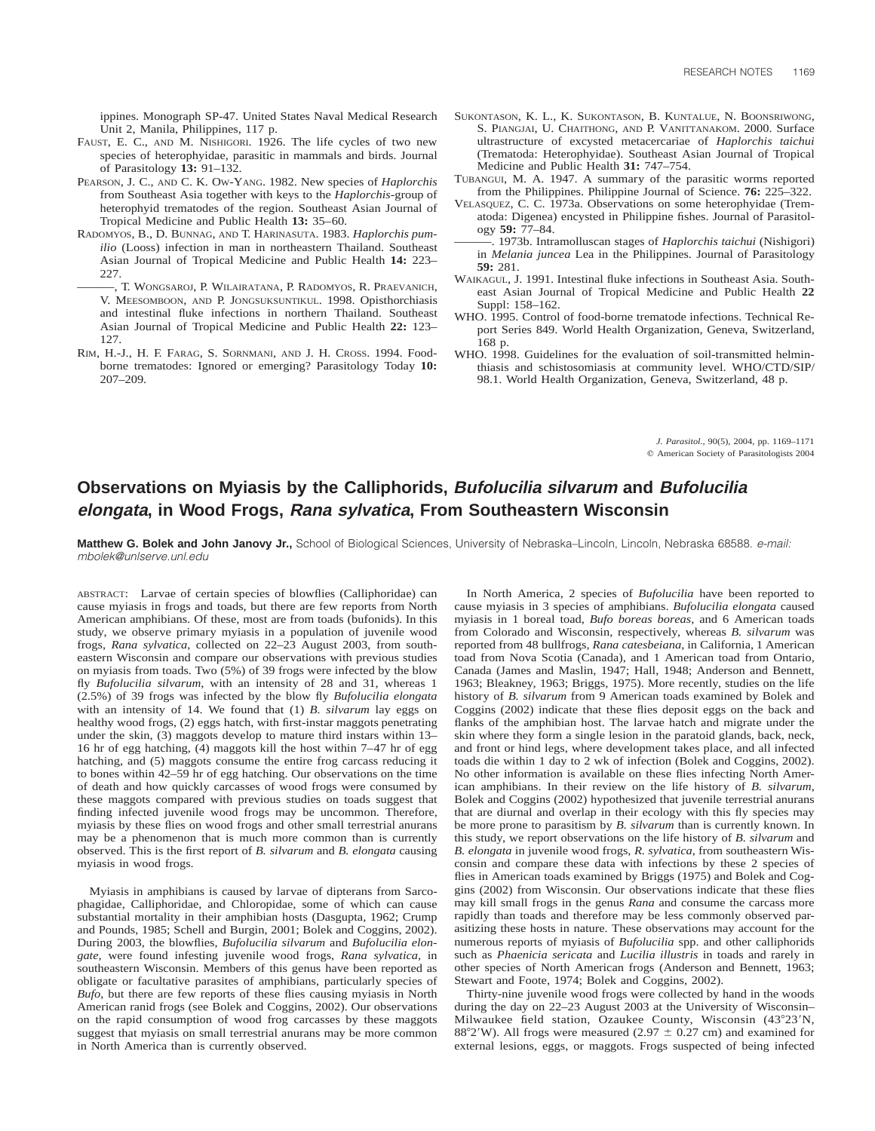ippines. Monograph SP-47. United States Naval Medical Research Unit 2, Manila, Philippines, 117 p.

- FAUST, E. C., AND M. NISHIGORI. 1926. The life cycles of two new species of heterophyidae, parasitic in mammals and birds. Journal of Parasitology **13:** 91–132.
- PEARSON, J. C., AND C. K. OW-YANG. 1982. New species of *Haplorchis* from Southeast Asia together with keys to the *Haplorchis*-group of heterophyid trematodes of the region. Southeast Asian Journal of Tropical Medicine and Public Health **13:** 35–60.
- RADOMYOS, B., D. BUNNAG, AND T. HARINASUTA. 1983. *Haplorchis pumilio* (Looss) infection in man in northeastern Thailand. Southeast Asian Journal of Tropical Medicine and Public Health **14:** 223– 227.
- ———, T. WONGSAROJ, P. WILAIRATANA, P. RADOMYOS, R. PRAEVANICH, V. MEESOMBOON, AND P. JONGSUKSUNTIKUL. 1998. Opisthorchiasis and intestinal fluke infections in northern Thailand. Southeast Asian Journal of Tropical Medicine and Public Health **22:** 123– 127.
- RIM, H.-J., H. F. FARAG, S. SORNMANI, AND J. H. CROSS. 1994. Foodborne trematodes: Ignored or emerging? Parasitology Today **10:** 207–209.
- SUKONTASON, K. L., K. SUKONTASON, B. KUNTALUE, N. BOONSRIWONG, S. PIANGJAI, U. CHAITHONG, AND P. VANITTANAKOM. 2000. Surface ultrastructure of excysted metacercariae of *Haplorchis taichui* (Trematoda: Heterophyidae). Southeast Asian Journal of Tropical Medicine and Public Health **31:** 747–754.
- TUBANGUI, M. A. 1947. A summary of the parasitic worms reported from the Philippines. Philippine Journal of Science. **76:** 225–322.
- VELASQUEZ, C. C. 1973a. Observations on some heterophyidae (Trematoda: Digenea) encysted in Philippine fishes. Journal of Parasitology **59:** 77–84.
- ———. 1973b. Intramolluscan stages of *Haplorchis taichui* (Nishigori) in *Melania juncea* Lea in the Philippines. Journal of Parasitology **59:** 281.
- WAIKAGUL, J. 1991. Intestinal fluke infections in Southeast Asia. Southeast Asian Journal of Tropical Medicine and Public Health **22** Suppl: 158–162.
- WHO. 1995. Control of food-borne trematode infections. Technical Report Series 849. World Health Organization, Geneva, Switzerland, 168 p.
- WHO. 1998. Guidelines for the evaluation of soil-transmitted helminthiasis and schistosomiasis at community level. WHO/CTD/SIP/ 98.1. World Health Organization, Geneva, Switzerland, 48 p.

*J. Parasitol.,* 90(5), 2004, pp. 1169–1171  $©$  American Society of Parasitologists 2004

## **Observations on Myiasis by the Calliphorids, Bufolucilia silvarum and Bufolucilia elongata, in Wood Frogs, Rana sylvatica, From Southeastern Wisconsin**

Matthew G. Bolek and John Janovy Jr., School of Biological Sciences, University of Nebraska-Lincoln, Lincoln, Nebraska 68588. e-mail: mbolek@unlserve.unl.edu

ABSTRACT: Larvae of certain species of blowflies (Calliphoridae) can cause myiasis in frogs and toads, but there are few reports from North American amphibians. Of these, most are from toads (bufonids). In this study, we observe primary myiasis in a population of juvenile wood frogs, *Rana sylvatica*, collected on 22–23 August 2003, from southeastern Wisconsin and compare our observations with previous studies on myiasis from toads. Two (5%) of 39 frogs were infected by the blow fly *Bufolucilia silvarum*, with an intensity of 28 and 31, whereas 1 (2.5%) of 39 frogs was infected by the blow fly *Bufolucilia elongata* with an intensity of 14. We found that (1) *B. silvarum* lay eggs on healthy wood frogs, (2) eggs hatch, with first-instar maggots penetrating under the skin, (3) maggots develop to mature third instars within 13– 16 hr of egg hatching, (4) maggots kill the host within 7–47 hr of egg hatching, and (5) maggots consume the entire frog carcass reducing it to bones within 42–59 hr of egg hatching. Our observations on the time of death and how quickly carcasses of wood frogs were consumed by these maggots compared with previous studies on toads suggest that finding infected juvenile wood frogs may be uncommon. Therefore, myiasis by these flies on wood frogs and other small terrestrial anurans may be a phenomenon that is much more common than is currently observed. This is the first report of *B. silvarum* and *B. elongata* causing myiasis in wood frogs.

Myiasis in amphibians is caused by larvae of dipterans from Sarcophagidae, Calliphoridae, and Chloropidae, some of which can cause substantial mortality in their amphibian hosts (Dasgupta, 1962; Crump and Pounds, 1985; Schell and Burgin, 2001; Bolek and Coggins, 2002). During 2003, the blowflies, *Bufolucilia silvarum* and *Bufolucilia elongate*, were found infesting juvenile wood frogs, *Rana sylvatica*, in southeastern Wisconsin. Members of this genus have been reported as obligate or facultative parasites of amphibians, particularly species of *Bufo*, but there are few reports of these flies causing myiasis in North American ranid frogs (see Bolek and Coggins, 2002). Our observations on the rapid consumption of wood frog carcasses by these maggots suggest that myiasis on small terrestrial anurans may be more common in North America than is currently observed.

In North America, 2 species of *Bufolucilia* have been reported to cause myiasis in 3 species of amphibians. *Bufolucilia elongata* caused myiasis in 1 boreal toad, *Bufo boreas boreas*, and 6 American toads from Colorado and Wisconsin, respectively, whereas *B. silvarum* was reported from 48 bullfrogs, *Rana catesbeiana*, in California, 1 American toad from Nova Scotia (Canada), and 1 American toad from Ontario, Canada (James and Maslin, 1947; Hall, 1948; Anderson and Bennett, 1963; Bleakney, 1963; Briggs, 1975). More recently, studies on the life history of *B. silvarum* from 9 American toads examined by Bolek and Coggins (2002) indicate that these flies deposit eggs on the back and flanks of the amphibian host. The larvae hatch and migrate under the skin where they form a single lesion in the paratoid glands, back, neck, and front or hind legs, where development takes place, and all infected toads die within 1 day to 2 wk of infection (Bolek and Coggins, 2002). No other information is available on these flies infecting North American amphibians. In their review on the life history of *B. silvarum*, Bolek and Coggins (2002) hypothesized that juvenile terrestrial anurans that are diurnal and overlap in their ecology with this fly species may be more prone to parasitism by *B. silvarum* than is currently known. In this study, we report observations on the life history of *B. silvarum* and *B. elongata* in juvenile wood frogs, *R. sylvatica*, from southeastern Wisconsin and compare these data with infections by these 2 species of flies in American toads examined by Briggs (1975) and Bolek and Coggins (2002) from Wisconsin. Our observations indicate that these flies may kill small frogs in the genus *Rana* and consume the carcass more rapidly than toads and therefore may be less commonly observed parasitizing these hosts in nature. These observations may account for the numerous reports of myiasis of *Bufolucilia* spp. and other calliphorids such as *Phaenicia sericata* and *Lucilia illustris* in toads and rarely in other species of North American frogs (Anderson and Bennett, 1963; Stewart and Foote, 1974; Bolek and Coggins, 2002).

Thirty-nine juvenile wood frogs were collected by hand in the woods during the day on 22–23 August 2003 at the University of Wisconsin– Milwaukee field station, Ozaukee County, Wisconsin (43°23'N, 88°2′W). All frogs were measured (2.97  $\pm$  0.27 cm) and examined for external lesions, eggs, or maggots. Frogs suspected of being infected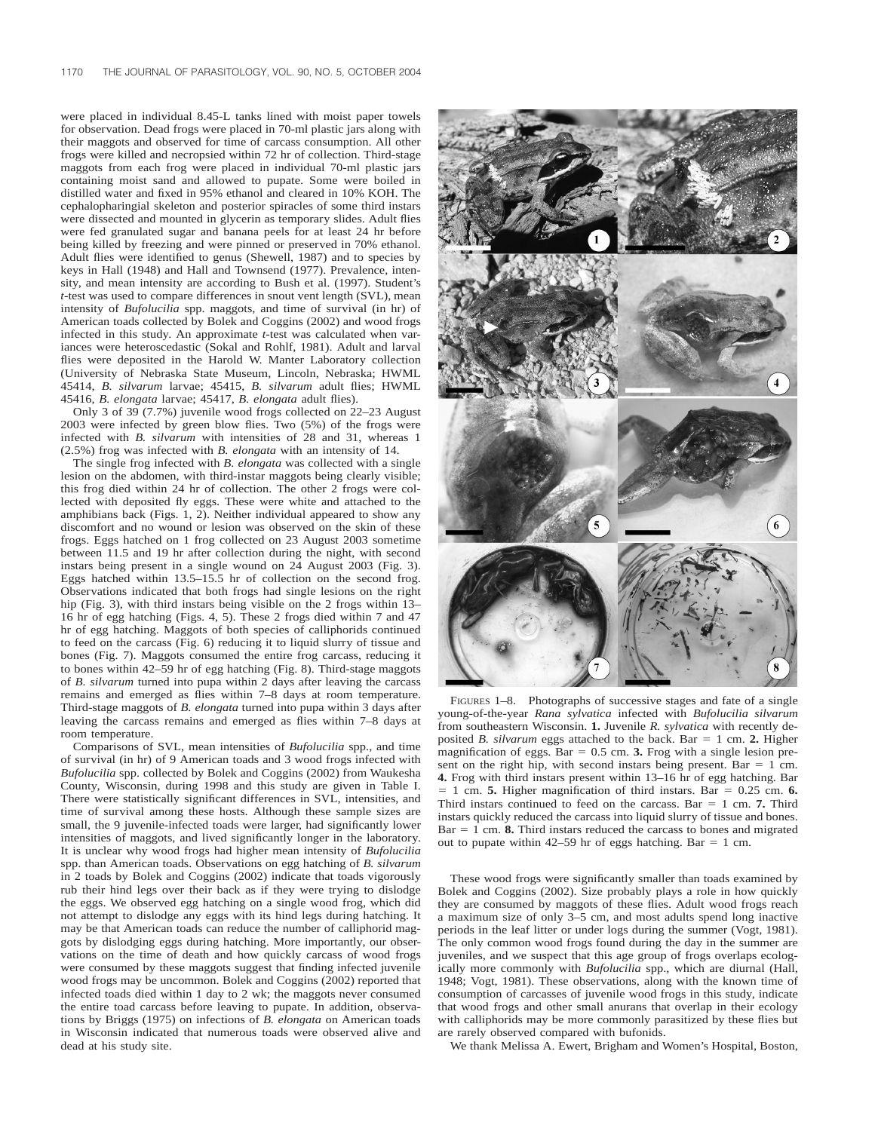were placed in individual 8.45-L tanks lined with moist paper towels for observation. Dead frogs were placed in 70-ml plastic jars along with their maggots and observed for time of carcass consumption. All other frogs were killed and necropsied within 72 hr of collection. Third-stage maggots from each frog were placed in individual 70-ml plastic jars containing moist sand and allowed to pupate. Some were boiled in distilled water and fixed in 95% ethanol and cleared in 10% KOH. The cephalopharingial skeleton and posterior spiracles of some third instars were dissected and mounted in glycerin as temporary slides. Adult flies were fed granulated sugar and banana peels for at least 24 hr before being killed by freezing and were pinned or preserved in 70% ethanol. Adult flies were identified to genus (Shewell, 1987) and to species by keys in Hall (1948) and Hall and Townsend (1977). Prevalence, intensity, and mean intensity are according to Bush et al. (1997). Student's *t*-test was used to compare differences in snout vent length (SVL), mean intensity of *Bufolucilia* spp. maggots, and time of survival (in hr) of American toads collected by Bolek and Coggins (2002) and wood frogs infected in this study. An approximate *t*-test was calculated when variances were heteroscedastic (Sokal and Rohlf, 1981). Adult and larval flies were deposited in the Harold W. Manter Laboratory collection (University of Nebraska State Museum, Lincoln, Nebraska; HWML 45414, *B. silvarum* larvae; 45415, *B. silvarum* adult flies; HWML 45416, *B. elongata* larvae; 45417, *B. elongata* adult flies).

Only 3 of 39 (7.7%) juvenile wood frogs collected on 22–23 August 2003 were infected by green blow flies. Two (5%) of the frogs were infected with *B. silvarum* with intensities of 28 and 31, whereas 1 (2.5%) frog was infected with *B. elongata* with an intensity of 14.

The single frog infected with *B. elongata* was collected with a single lesion on the abdomen, with third-instar maggots being clearly visible; this frog died within 24 hr of collection. The other 2 frogs were collected with deposited fly eggs. These were white and attached to the amphibians back (Figs. 1, 2). Neither individual appeared to show any discomfort and no wound or lesion was observed on the skin of these frogs. Eggs hatched on 1 frog collected on 23 August 2003 sometime between 11.5 and 19 hr after collection during the night, with second instars being present in a single wound on 24 August 2003 (Fig. 3). Eggs hatched within 13.5–15.5 hr of collection on the second frog. Observations indicated that both frogs had single lesions on the right hip (Fig. 3), with third instars being visible on the 2 frogs within 13-16 hr of egg hatching (Figs. 4, 5). These 2 frogs died within 7 and 47 hr of egg hatching. Maggots of both species of calliphorids continued to feed on the carcass (Fig. 6) reducing it to liquid slurry of tissue and bones (Fig. 7). Maggots consumed the entire frog carcass, reducing it to bones within 42–59 hr of egg hatching (Fig. 8). Third-stage maggots of *B. silvarum* turned into pupa within 2 days after leaving the carcass remains and emerged as flies within 7–8 days at room temperature. Third-stage maggots of *B. elongata* turned into pupa within 3 days after leaving the carcass remains and emerged as flies within 7–8 days at room temperature.

Comparisons of SVL, mean intensities of *Bufolucilia* spp., and time of survival (in hr) of 9 American toads and 3 wood frogs infected with *Bufolucilia* spp. collected by Bolek and Coggins (2002) from Waukesha County, Wisconsin, during 1998 and this study are given in Table I. There were statistically significant differences in SVL, intensities, and time of survival among these hosts. Although these sample sizes are small, the 9 juvenile-infected toads were larger, had significantly lower intensities of maggots, and lived significantly longer in the laboratory. It is unclear why wood frogs had higher mean intensity of *Bufolucilia* spp. than American toads. Observations on egg hatching of *B. silvarum* in 2 toads by Bolek and Coggins (2002) indicate that toads vigorously rub their hind legs over their back as if they were trying to dislodge the eggs. We observed egg hatching on a single wood frog, which did not attempt to dislodge any eggs with its hind legs during hatching. It may be that American toads can reduce the number of calliphorid maggots by dislodging eggs during hatching. More importantly, our observations on the time of death and how quickly carcass of wood frogs were consumed by these maggots suggest that finding infected juvenile wood frogs may be uncommon. Bolek and Coggins (2002) reported that infected toads died within 1 day to 2 wk; the maggots never consumed the entire toad carcass before leaving to pupate. In addition, observations by Briggs (1975) on infections of *B. elongata* on American toads in Wisconsin indicated that numerous toads were observed alive and dead at his study site.



FIGURES 1–8. Photographs of successive stages and fate of a single young-of-the-year *Rana sylvatica* infected with *Bufolucilia silvarum* from southeastern Wisconsin. **1.** Juvenile *R. sylvatica* with recently deposited *B. silvarum* eggs attached to the back. Bar = 1 cm. 2. Higher magnification of eggs. Bar  $= 0.5$  cm. **3.** Frog with a single lesion present on the right hip, with second instars being present. Bar  $= 1$  cm. **4.** Frog with third instars present within 13–16 hr of egg hatching. Bar 1 cm. **5.** Higher magnification of third instars. Bar =  $0.25$  cm. **6.** Third instars continued to feed on the carcass. Bar  $= 1$  cm. **7.** Third instars quickly reduced the carcass into liquid slurry of tissue and bones.  $Bar = 1$  cm. **8.** Third instars reduced the carcass to bones and migrated out to pupate within 42–59 hr of eggs hatching. Bar = 1 cm.

These wood frogs were significantly smaller than toads examined by Bolek and Coggins (2002). Size probably plays a role in how quickly they are consumed by maggots of these flies. Adult wood frogs reach a maximum size of only 3–5 cm, and most adults spend long inactive periods in the leaf litter or under logs during the summer (Vogt, 1981). The only common wood frogs found during the day in the summer are juveniles, and we suspect that this age group of frogs overlaps ecologically more commonly with *Bufolucilia* spp., which are diurnal (Hall, 1948; Vogt, 1981). These observations, along with the known time of consumption of carcasses of juvenile wood frogs in this study, indicate that wood frogs and other small anurans that overlap in their ecology with calliphorids may be more commonly parasitized by these flies but are rarely observed compared with bufonids.

We thank Melissa A. Ewert, Brigham and Women's Hospital, Boston,